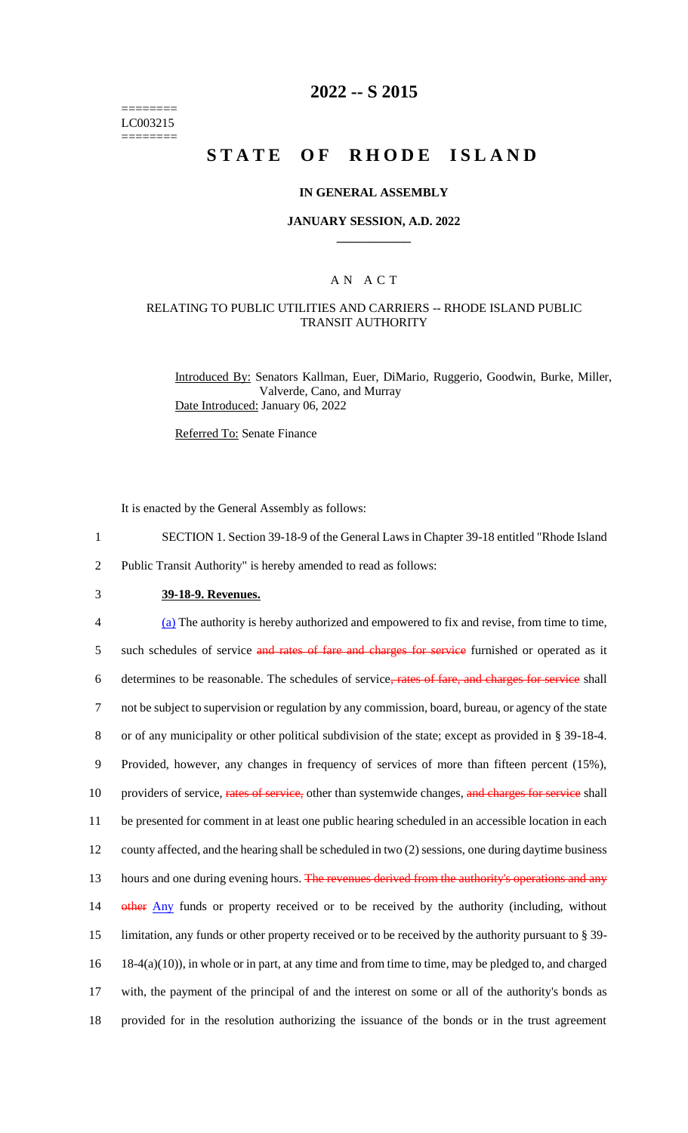======== LC003215 ========

### **2022 -- S 2015**

# **STATE OF RHODE ISLAND**

#### **IN GENERAL ASSEMBLY**

#### **JANUARY SESSION, A.D. 2022 \_\_\_\_\_\_\_\_\_\_\_\_**

#### A N A C T

#### RELATING TO PUBLIC UTILITIES AND CARRIERS -- RHODE ISLAND PUBLIC TRANSIT AUTHORITY

Introduced By: Senators Kallman, Euer, DiMario, Ruggerio, Goodwin, Burke, Miller, Valverde, Cano, and Murray Date Introduced: January 06, 2022

Referred To: Senate Finance

It is enacted by the General Assembly as follows:

- 1 SECTION 1. Section 39-18-9 of the General Laws in Chapter 39-18 entitled "Rhode Island
- 2 Public Transit Authority" is hereby amended to read as follows:
- 3 **39-18-9. Revenues.**

 (a) The authority is hereby authorized and empowered to fix and revise, from time to time, 5 such schedules of service and rates of fare and charges for service furnished or operated as it determines to be reasonable. The schedules of service, rates of fare, and charges for service shall not be subject to supervision or regulation by any commission, board, bureau, or agency of the state or of any municipality or other political subdivision of the state; except as provided in § 39-18-4. Provided, however, any changes in frequency of services of more than fifteen percent (15%), 10 providers of service, rates of service, other than systemwide changes, and charges for service shall be presented for comment in at least one public hearing scheduled in an accessible location in each county affected, and the hearing shall be scheduled in two (2) sessions, one during daytime business 13 hours and one during evening hours. The revenues derived from the authority's operations and any 14 other Any funds or property received or to be received by the authority (including, without limitation, any funds or other property received or to be received by the authority pursuant to § 39- 18-4(a)(10)), in whole or in part, at any time and from time to time, may be pledged to, and charged with, the payment of the principal of and the interest on some or all of the authority's bonds as provided for in the resolution authorizing the issuance of the bonds or in the trust agreement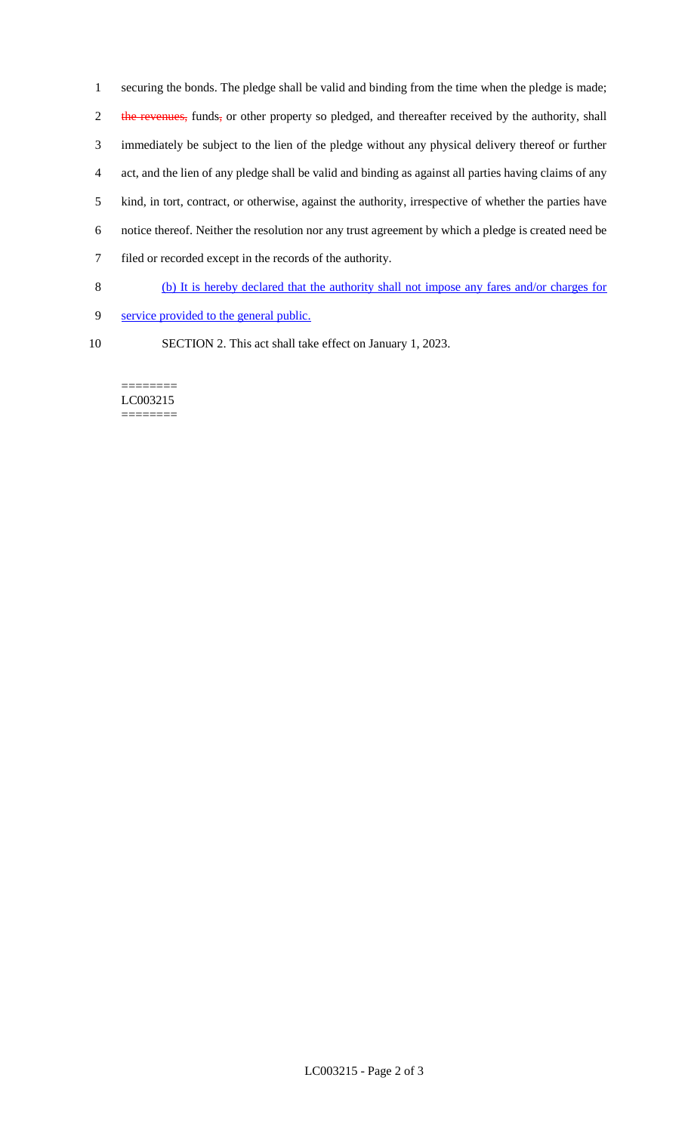securing the bonds. The pledge shall be valid and binding from the time when the pledge is made; 2 the revenues, funds, or other property so pledged, and thereafter received by the authority, shall immediately be subject to the lien of the pledge without any physical delivery thereof or further act, and the lien of any pledge shall be valid and binding as against all parties having claims of any kind, in tort, contract, or otherwise, against the authority, irrespective of whether the parties have notice thereof. Neither the resolution nor any trust agreement by which a pledge is created need be filed or recorded except in the records of the authority.

- 8 (b) It is hereby declared that the authority shall not impose any fares and/or charges for
- 9 service provided to the general public.
- 
- 10 SECTION 2. This act shall take effect on January 1, 2023.

======== LC003215 ========